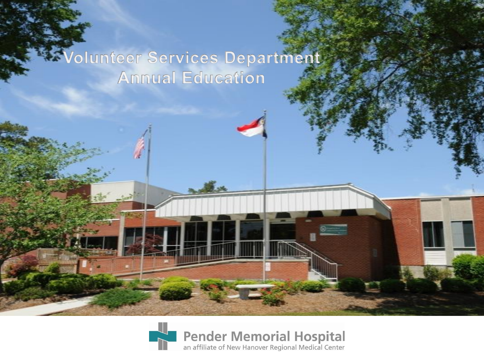### **Wolunteer Services Department Annual Education**

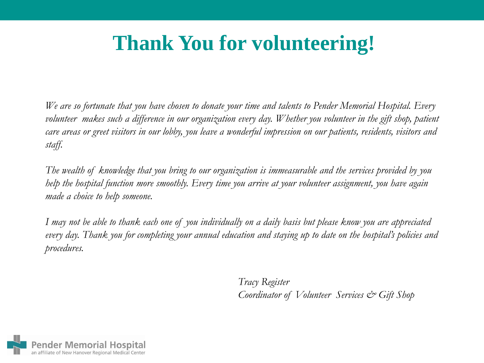# **Thank You for volunteering!**

*We are so fortunate that you have chosen to donate your time and talents to Pender Memorial Hospital. Every*  volunteer makes such a difference in our organization every day. Whether you volunteer in the gift shop, patient *care areas or greet visitors in our lobby, you leave a wonderful impression on our patients, residents, visitors and staff.* 

*The wealth of knowledge that you bring to our organization is immeasurable and the services provided by you help the hospital function more smoothly. Every time you arrive at your volunteer assignment, you have again made a choice to help someone.*

*I may not be able to thank each one of you individually on a daily basis but please know you are appreciated every day. Thank you for completing your annual education and staying up to date on the hospital's policies and procedures.* 

> *Tracy Register Coordinator of Volunteer Services & Gift Shop*

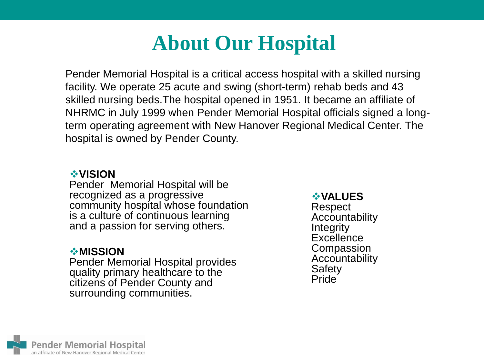# **About Our Hospital**

Pender Memorial Hospital is a critical access hospital with a skilled nursing facility. We operate 25 acute and swing (short-term) rehab beds and 43 skilled nursing beds.The hospital opened in 1951. It became an affiliate of NHRMC in July 1999 when Pender Memorial Hospital officials signed a longterm operating agreement with New Hanover Regional Medical Center. The hospital is owned by Pender County.

### **VISION**

Pender Memorial Hospital will be recognized as a progressive community hospital whose foundation is a culture of continuous learning and a passion for serving others.

### **MISSION**

Pender Memorial Hospital provides quality primary healthcare to the citizens of Pender County and surrounding communities.

#### **VALUES**

Respect Accountability **Integrity Excellence Compassion** Accountability **Safety** Pride

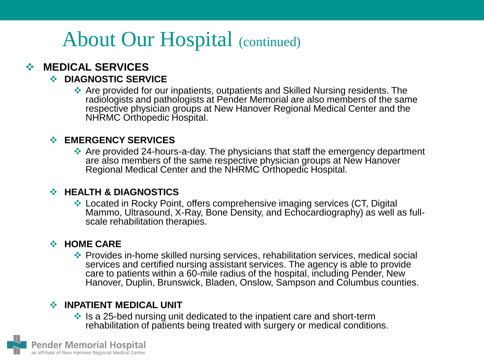# About Our Hospital (continued)

### **MEDICAL SERVICES**

### $\div$  DIAGNOSTIC SERVICE

 Are provided for our inpatients, outpatients and Skilled Nursing residents. The radiologists and pathologists at Pender Memorial are also members of the same respective physician groups at New Hanover Regional Medical Center and the NHRMC Orthopedic Hospital.

### **EMERGENCY SERVICES**

 Are provided 24-hours-a-day. The physicians that staff the emergency department are also members of the same respective physician groups at New Hanover Regional Medical Center and the NHRMC Orthopedic Hospital.

#### **HEALTH & DIAGNOSTICS**

 Located in Rocky Point, offers comprehensive imaging services (CT, Digital Mammo, Ultrasound, X-Ray, Bone Density, and Echocardiography) as well as fullscale rehabilitation therapies.

#### $\div$  HOME CARE

 Provides in-home skilled nursing services, rehabilitation services, medical social services and certified nursing assistant services. The agency is able to provide care to patients within a 60-mile radius of the hospital, including Pender, New Hanover, Duplin, Brunswick, Bladen, Onslow, Sampson and Columbus counties.

#### $\cdot$  **INPATIENT MEDICAL UNIT**

 $\cdot$  Is a 25-bed nursing unit dedicated to the inpatient care and short-term rehabilitation of patients being treated with surgery or medical conditions.

Pender Memorial Hospital an affiliate of New Hanover Regional Medical Center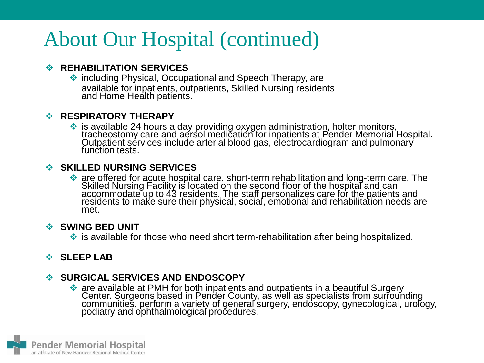# About Our Hospital (continued)

### *<b>REHABILITATION SERVICES*

 including Physical, Occupational and Speech Therapy, are available for inpatients, outpatients, Skilled Nursing residents and Home Health patients.

### *<b>RESPIRATORY THERAPY*

• is available 24 hours a day providing oxygen administration, holter monitors, tracheostomy care and aersol medication for inpatients at Pender Memorial Hospital. Outpatient sérvices include arterial blood gas, electrocardiogram and pulmonary function tests.

### **SKILLED NURSING SERVICES**

 are offered for acute hospital care, short-term rehabilitation and long-term care. The Skilled Nursing Facility is located on the second floor of the hospital and can accommodate up to 43 residents. The staff personalizes care for the patients and residents to make sure their physical, social, emotional and rehabilitation needs are met.

#### **SWING BED UNIT**

 $\cdot$  is available for those who need short term-rehabilitation after being hospitalized.

### $\div$  **SLEEP LAB**

### **SURGICAL SERVICES AND ENDOSCOPY**

• are available at PMH for both inpatients and outpatients in a beautiful Surgery Center. Surgeons based in Pender County, as well as specialists from surrounding communities, perform a variety of general surgery, endoscopy, gynecological, urology, podiatry and ophthalmological procedures.

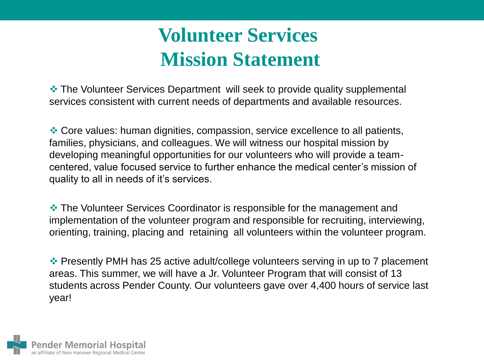# **Volunteer Services Mission Statement**

 The Volunteer Services Department will seek to provide quality supplemental services consistent with current needs of departments and available resources.

 Core values: human dignities, compassion, service excellence to all patients, families, physicians, and colleagues. We will witness our hospital mission by developing meaningful opportunities for our volunteers who will provide a teamcentered, value focused service to further enhance the medical center's mission of quality to all in needs of it's services.

 The Volunteer Services Coordinator is responsible for the management and implementation of the volunteer program and responsible for recruiting, interviewing, orienting, training, placing and retaining all volunteers within the volunteer program.

 Presently PMH has 25 active adult/college volunteers serving in up to 7 placement areas. This summer, we will have a Jr. Volunteer Program that will consist of 13 students across Pender County. Our volunteers gave over 4,400 hours of service last year!

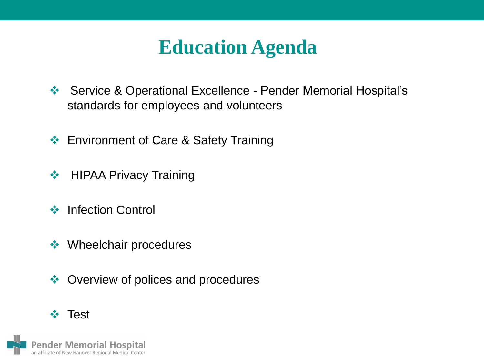# **Education Agenda**

- ◆ Service & Operational Excellence Pender Memorial Hospital's standards for employees and volunteers
- **❖** Environment of Care & Safety Training
- **❖** HIPAA Privacy Training
- **❖** Infection Control
- **❖** Wheelchair procedures
- **♦ Overview of polices and procedures**

### **☆ Test**

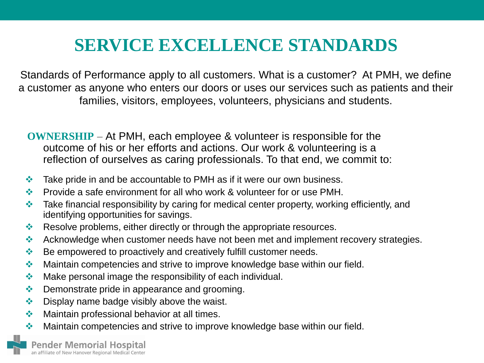Standards of Performance apply to all customers. What is a customer? At PMH, we define a customer as anyone who enters our doors or uses our services such as patients and their families, visitors, employees, volunteers, physicians and students.

**OWNERSHIP** – At PMH, each employee & volunteer is responsible for the outcome of his or her efforts and actions. Our work & volunteering is a reflection of ourselves as caring professionals. To that end, we commit to:

- $\cdot$  Take pride in and be accountable to PMH as if it were our own business.
- ❖ Provide a safe environment for all who work & volunteer for or use PMH.
- $\cdot$  Take financial responsibility by caring for medical center property, working efficiently, and identifying opportunities for savings.
- Resolve problems, either directly or through the appropriate resources.
- Acknowledge when customer needs have not been met and implement recovery strategies.
- ◆ Be empowered to proactively and creatively fulfill customer needs.
- ◆ Maintain competencies and strive to improve knowledge base within our field.
- $\triangle$  Make personal image the responsibility of each individual.
- **♦ Demonstrate pride in appearance and grooming.**
- $\bullet$  Display name badge visibly above the waist.
- $\triangleq$  Maintain professional behavior at all times.
- ◆ Maintain competencies and strive to improve knowledge base within our field.

**ender Memorial Hospital** an affiliate of New Hanover Regional Medical Center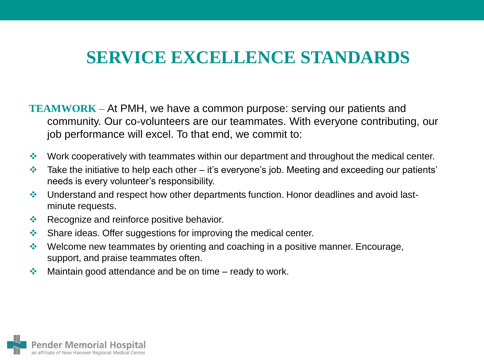- **TEAMWORK** At PMH, we have a common purpose: serving our patients and community. Our co-volunteers are our teammates. With everyone contributing, our job performance will excel. To that end, we commit to:
- ◆ Work cooperatively with teammates within our department and throughout the medical center.
- Take the initiative to help each other it's everyone's job. Meeting and exceeding our patients' needs is every volunteer's responsibility.
- Understand and respect how other departments function. Honor deadlines and avoid lastminute requests.
- Recognize and reinforce positive behavior.
- Share ideas. Offer suggestions for improving the medical center.
- ◆ Welcome new teammates by orienting and coaching in a positive manner. Encourage, support, and praise teammates often.
- $\cdot$  Maintain good attendance and be on time ready to work.

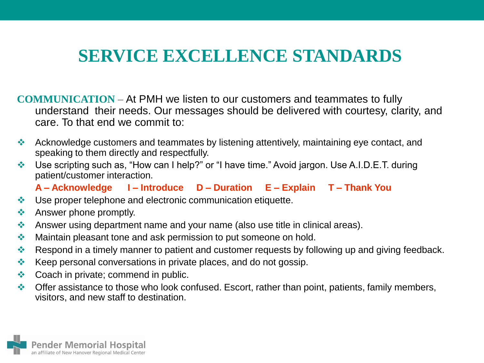**COMMUNICATION** – At PMH we listen to our customers and teammates to fully understand their needs. Our messages should be delivered with courtesy, clarity, and care. To that end we commit to:

- Acknowledge customers and teammates by listening attentively, maintaining eye contact, and speaking to them directly and respectfully.
- ◆ Use scripting such as, "How can I help?" or "I have time." Avoid jargon. Use A.I.D.E.T. during patient/customer interaction.

**A – Acknowledge I – Introduce D – Duration E – Explain T – Thank You**

- **↓ Use proper telephone and electronic communication etiquette.**
- ❖ Answer phone promptly.
- Answer using department name and your name (also use title in clinical areas).
- ◆ Maintain pleasant tone and ask permission to put someone on hold.
- Respond in a timely manner to patient and customer requests by following up and giving feedback.
- $\bullet\bullet\bullet\bullet$  Keep personal conversations in private places, and do not gossip.
- **♦ Coach in private; commend in public.**
- $\bullet$  Offer assistance to those who look confused. Escort, rather than point, patients, family members, visitors, and new staff to destination.

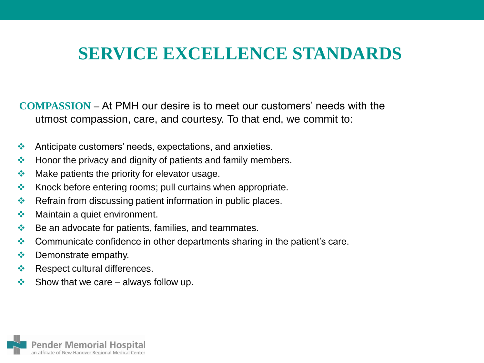**COMPASSION –** At PMH our desire is to meet our customers' needs with the utmost compassion, care, and courtesy. To that end, we commit to:

- Anticipate customers' needs, expectations, and anxieties.
- $\div$  Honor the privacy and dignity of patients and family members.
- $\cdot$  Make patients the priority for elevator usage.
- $\cdot$  Knock before entering rooms; pull curtains when appropriate.
- Refrain from discussing patient information in public places.
- **❖** Maintain a quiet environment.
- $\bullet$  Be an advocate for patients, families, and teammates.
- Communicate confidence in other departments sharing in the patient's care.
- ❖ Demonstrate empathy.
- **EXECUTE A** Respect cultural differences.
- $\triangleq$  Show that we care always follow up.

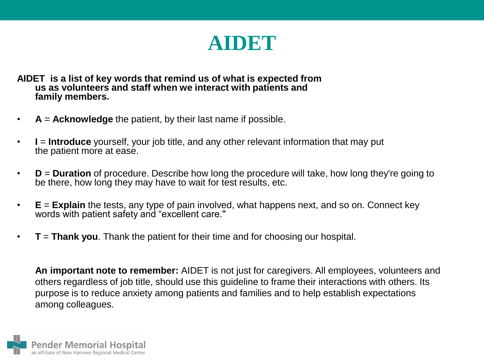

**AIDET is a list of key words that remind us of what is expected from us as volunteers and staff when we interact with patients and family members.**

- **A** = **Acknowledge** the patient, by their last name if possible.
- **I** = **Introduce** yourself, your job title, and any other relevant information that may put the patient more at ease.
- **D** = **Duration** of procedure. Describe how long the procedure will take, how long they're going to be there, how long they may have to wait for test results, etc.
- **E** = **Explain** the tests, any type of pain involved, what happens next, and so on. Connect key words with patient safety and "excellent care."
- **T** = **Thank you**. Thank the patient for their time and for choosing our hospital.

**An important note to remember:** AIDET is not just for caregivers. All employees, volunteers and others regardless of job title, should use this guideline to frame their interactions with others. Its purpose is to reduce anxiety among patients and families and to help establish expectations among colleagues.

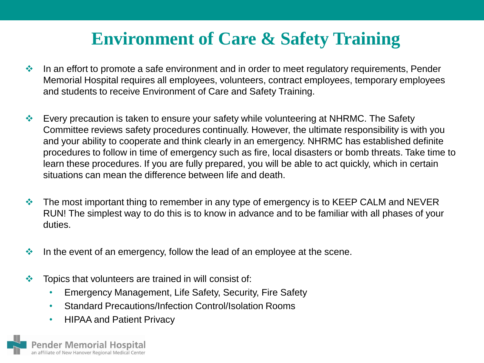## **Environment of Care & Safety Training**

- In an effort to promote a safe environment and in order to meet regulatory requirements, Pender Memorial Hospital requires all employees, volunteers, contract employees, temporary employees and students to receive Environment of Care and Safety Training.
- Every precaution is taken to ensure your safety while volunteering at NHRMC. The Safety Committee reviews safety procedures continually. However, the ultimate responsibility is with you and your ability to cooperate and think clearly in an emergency. NHRMC has established definite procedures to follow in time of emergency such as fire, local disasters or bomb threats. Take time to learn these procedures. If you are fully prepared, you will be able to act quickly, which in certain situations can mean the difference between life and death.
- $\cdot$  The most important thing to remember in any type of emergency is to KEEP CALM and NEVER RUN! The simplest way to do this is to know in advance and to be familiar with all phases of your duties.
- In the event of an emergency, follow the lead of an employee at the scene.
- $\cdot$  Topics that volunteers are trained in will consist of:
	- Emergency Management, Life Safety, Security, Fire Safety
	- Standard Precautions/Infection Control/Isolation Rooms
	- HIPAA and Patient Privacy

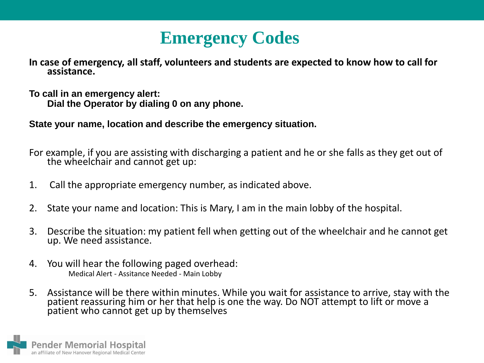### **Emergency Codes**

**In case of emergency, all staff, volunteers and students are expected to know how to call for assistance.** 

**To call in an emergency alert: Dial the Operator by dialing 0 on any phone.**

**State your name, location and describe the emergency situation.**

For example, if you are assisting with discharging a patient and he or she falls as they get out of the wheelchair and cannot get up:

- 1. Call the appropriate emergency number, as indicated above.
- 2. State your name and location: This is Mary, I am in the main lobby of the hospital.
- 3. Describe the situation: my patient fell when getting out of the wheelchair and he cannot get up. We need assistance.
- 4. You will hear the following paged overhead: Medical Alert - Assitance Needed - Main Lobby
- 5. Assistance will be there within minutes. While you wait for assistance to arrive, stay with the patient reassuring him or her that help is one the way. Do NOT attempt to lift or move a patient who cannot get up by themselves

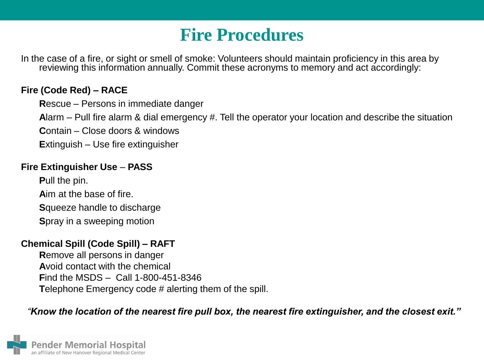### **Fire Procedures**

In the case of a fire, or sight or smell of smoke: Volunteers should maintain proficiency in this area by reviewing this information annually. Commit these acronyms to memory and act accordingly:

#### **Fire (Code Red) – RACE**

**R**escue – Persons in immediate danger

**A**larm – Pull fire alarm & dial emergency #. Tell the operator your location and describe the situation

**C**ontain – Close doors & windows

**E**xtinguish – Use fire extinguisher

#### **Fire Extinguisher Use** – **PASS**

**P**ull the pin.

**A**im at the base of fire.

**S**queeze handle to discharge

**S**pray in a sweeping motion

#### **Chemical Spill (Code Spill) – RAFT**

**R**emove all persons in danger **A**void contact with the chemical **F**ind the MSDS – Call 1-800-451-8346 **T**elephone Emergency code # alerting them of the spill.

#### *"Know the location of the nearest fire pull box, the nearest fire extinguisher, and the closest exit."*

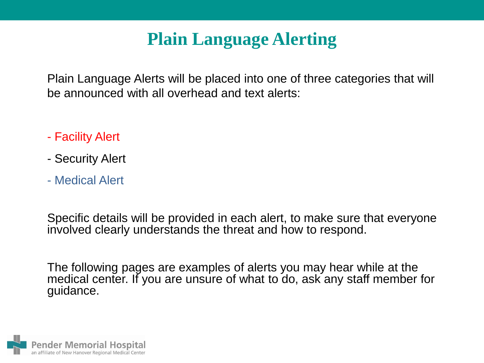Plain Language Alerts will be placed into one of three categories that will be announced with all overhead and text alerts:

- Facility Alert
- Security Alert
- Medical Alert

Specific details will be provided in each alert, to make sure that everyone involved clearly understands the threat and how to respond.

The following pages are examples of alerts you may hear while at the medical center. If you are unsure of what to do, ask any staff member for guidance.

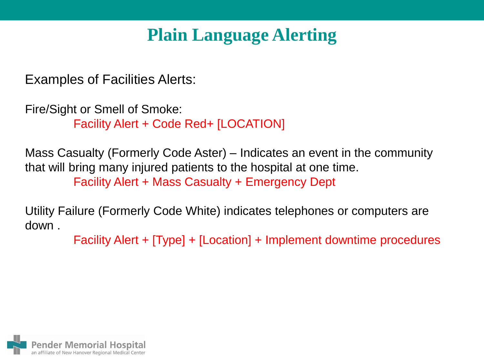Examples of Facilities Alerts:

Fire/Sight or Smell of Smoke: Facility Alert + Code Red+ [LOCATION]

Mass Casualty (Formerly Code Aster) – Indicates an event in the community that will bring many injured patients to the hospital at one time. Facility Alert + Mass Casualty + Emergency Dept

Utility Failure (Formerly Code White) indicates telephones or computers are down .

Facility Alert + [Type] + [Location] + Implement downtime procedures

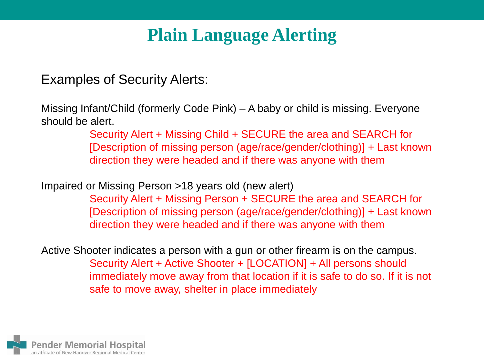Examples of Security Alerts:

Missing Infant/Child (formerly Code Pink) – A baby or child is missing. Everyone should be alert.

> Security Alert + Missing Child + SECURE the area and SEARCH for [Description of missing person (age/race/gender/clothing)] + Last known direction they were headed and if there was anyone with them

Impaired or Missing Person >18 years old (new alert)

Security Alert + Missing Person + SECURE the area and SEARCH for [Description of missing person (age/race/gender/clothing)] + Last known direction they were headed and if there was anyone with them

Active Shooter indicates a person with a gun or other firearm is on the campus. Security Alert + Active Shooter + [LOCATION] + All persons should immediately move away from that location if it is safe to do so. If it is not safe to move away, shelter in place immediately

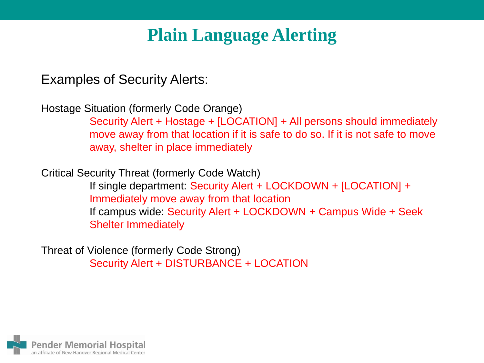Examples of Security Alerts:

Hostage Situation (formerly Code Orange)

Security Alert + Hostage + [LOCATION] + All persons should immediately move away from that location if it is safe to do so. If it is not safe to move away, shelter in place immediately

Critical Security Threat (formerly Code Watch)

If single department: Security Alert + LOCKDOWN + [LOCATION] + Immediately move away from that location If campus wide: Security Alert + LOCKDOWN + Campus Wide + Seek Shelter Immediately

Threat of Violence (formerly Code Strong) Security Alert + DISTURBANCE + LOCATION

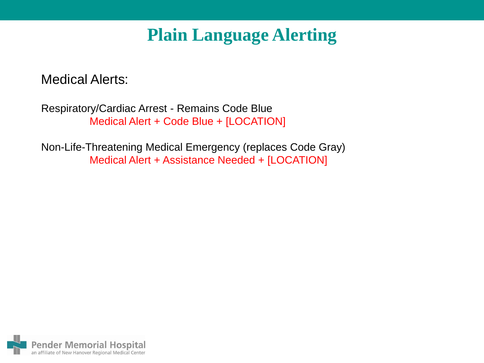Medical Alerts:

Respiratory/Cardiac Arrest - Remains Code Blue Medical Alert + Code Blue + [LOCATION]

Non-Life-Threatening Medical Emergency (replaces Code Gray) Medical Alert + Assistance Needed + [LOCATION]

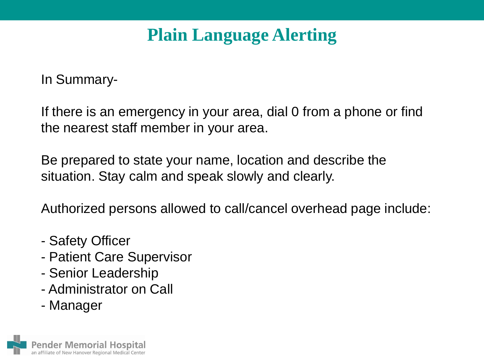In Summary-

If there is an emergency in your area, dial 0 from a phone or find the nearest staff member in your area.

Be prepared to state your name, location and describe the situation. Stay calm and speak slowly and clearly.

Authorized persons allowed to call/cancel overhead page include:

- Safety Officer
- Patient Care Supervisor
- Senior Leadership
- Administrator on Call
- Manager

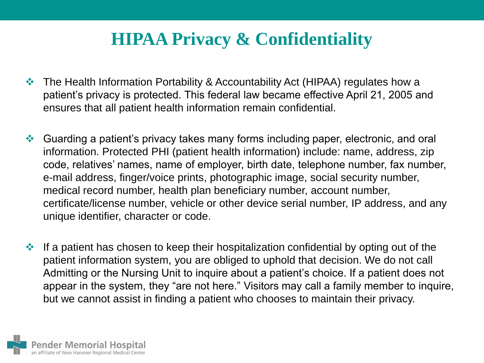### **HIPAA Privacy & Confidentiality**

- The Health Information Portability & Accountability Act (HIPAA) regulates how a patient's privacy is protected. This federal law became effective April 21, 2005 and ensures that all patient health information remain confidential.
- Guarding a patient's privacy takes many forms including paper, electronic, and oral information. Protected PHI (patient health information) include: name, address, zip code, relatives' names, name of employer, birth date, telephone number, fax number, e-mail address, finger/voice prints, photographic image, social security number, medical record number, health plan beneficiary number, account number, certificate/license number, vehicle or other device serial number, IP address, and any unique identifier, character or code.
- $\cdot$  If a patient has chosen to keep their hospitalization confidential by opting out of the patient information system, you are obliged to uphold that decision. We do not call Admitting or the Nursing Unit to inquire about a patient's choice. If a patient does not appear in the system, they "are not here." Visitors may call a family member to inquire, but we cannot assist in finding a patient who chooses to maintain their privacy.

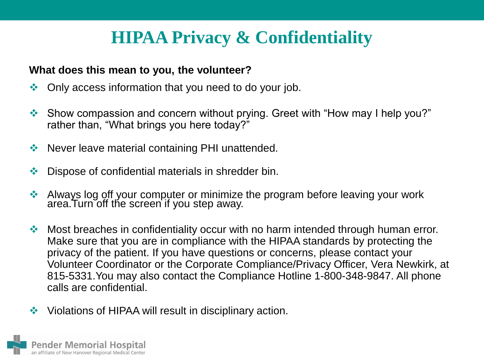## **HIPAA Privacy & Confidentiality**

### **What does this mean to you, the volunteer?**

- Only access information that you need to do your job.
- Show compassion and concern without prying. Greet with "How may I help you?" rather than, "What brings you here today?"
- ◆ Never leave material containing PHI unattended.
- Dispose of confidential materials in shredder bin.
- Always log off your computer or minimize the program before leaving your work area.Turn off the screen if you step away.
- Most breaches in confidentiality occur with no harm intended through human error. Make sure that you are in compliance with the HIPAA standards by protecting the privacy of the patient. If you have questions or concerns, please contact your Volunteer Coordinator or the Corporate Compliance/Privacy Officer, Vera Newkirk, at 815-5331.You may also contact the Compliance Hotline 1-800-348-9847. All phone calls are confidential.
- Violations of HIPAA will result in disciplinary action.

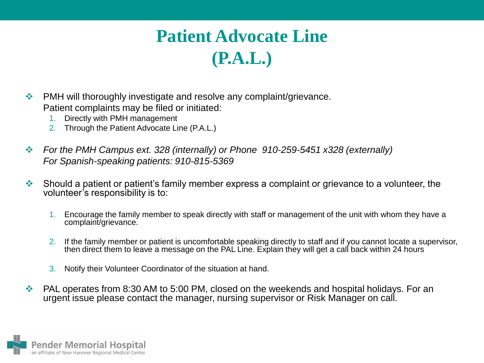# **Patient Advocate Line (P.A.L.)**

- ◆ PMH will thoroughly investigate and resolve any complaint/grievance. Patient complaints may be filed or initiated:
	- 1. Directly with PMH management
	- 2. Through the Patient Advocate Line (P.A.L.)
- *For the PMH Campus ext. 328 (internally) or Phone 910-259-5451 x328 (externally) For Spanish-speaking patients: 910-815-5369*
- $\cdot$  Should a patient or patient's family member express a complaint or grievance to a volunteer, the volunteer's responsibility is to:
	- 1. Encourage the family member to speak directly with staff or management of the unit with whom they have a complaint/grievance.
	- 2. If the family member or patient is uncomfortable speaking directly to staff and if you cannot locate a supervisor, then direct them to leave a message on the PAL Line. Explain they will get a call back within 24 hours
	- 3. Notify their Volunteer Coordinator of the situation at hand.
- ◆ PAL operates from 8:30 AM to 5:00 PM, closed on the weekends and hospital holidays. For an urgent issue please contact the manager, nursing supervisor or Risk Manager on call.

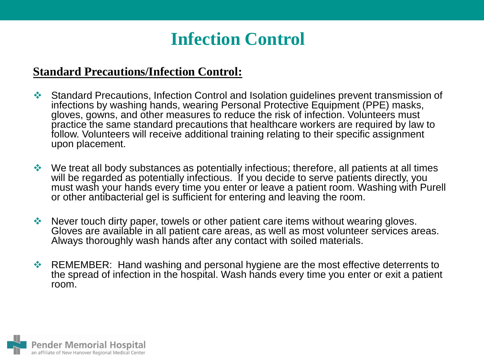### **Infection Control**

### **Standard Precautions/Infection Control:**

- Standard Precautions, Infection Control and Isolation guidelines prevent transmission of infections by washing hands, wearing Personal Protective Equipment (PPE) masks, gloves, gowns, and other measures to reduce the risk of infection. Volunteers must practice the same standard precautions that healthcare workers are required by law to follow. Volunteers will receive additional training relating to their specific assignment upon placement.
- $\cdot$  We treat all body substances as potentially infectious; therefore, all patients at all times will be regarded as potentially infectious. If you decide to serve patients directly, you must wash your hands every time you enter or leave a patient room. Washing with Purell or other antibacterial gel is sufficient for entering and leaving the room.
- ◆ Never touch dirty paper, towels or other patient care items without wearing gloves. Gloves are available in all patient care areas, as well as most volunteer services areas. Always thoroughly wash hands after any contact with soiled materials.
- ◆ REMEMBER: Hand washing and personal hygiene are the most effective deterrents to the spread of infection in the hospital. Wash hands every time you enter or exit a patient room.

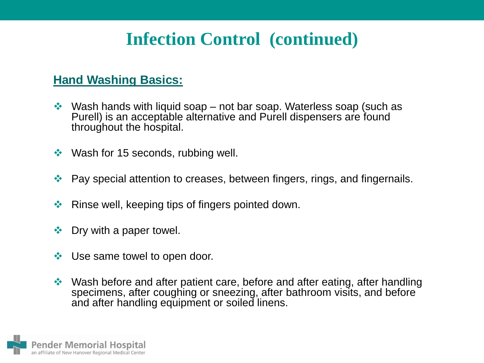### **Infection Control (continued)**

### **Hand Washing Basics:**

- $\cdot$  Wash hands with liquid soap not bar soap. Waterless soap (such as Purell) is an acceptable alternative and Purell dispensers are found throughout the hospital.
- $\cdot$  Wash for 15 seconds, rubbing well.
- ◆ Pay special attention to creases, between fingers, rings, and fingernails.
- $\triangleleft$  Rinse well, keeping tips of fingers pointed down.
- $\div$  Dry with a paper towel.
- ❖ Use same towel to open door.
- ◆ Wash before and after patient care, before and after eating, after handling specimens, after coughing or sneezing, after bathroom visits, and before and after handling equipment or soiled linens.

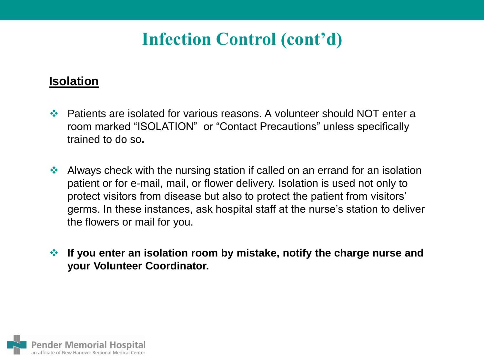# **Infection Control (cont'd)**

### **Isolation**

- Patients are isolated for various reasons. A volunteer should NOT enter a room marked "ISOLATION" or "Contact Precautions" unless specifically trained to do so**.**
- Always check with the nursing station if called on an errand for an isolation patient or for e-mail, mail, or flower delivery. Isolation is used not only to protect visitors from disease but also to protect the patient from visitors' germs. In these instances, ask hospital staff at the nurse's station to deliver the flowers or mail for you.
- **If you enter an isolation room by mistake, notify the charge nurse and your Volunteer Coordinator.**

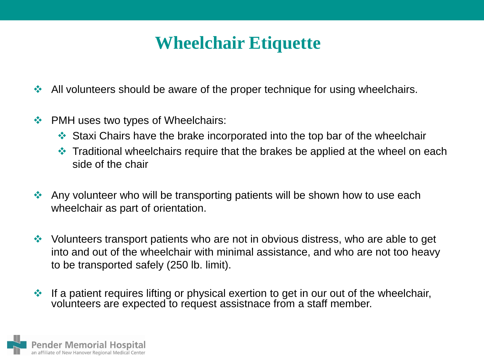### **Wheelchair Etiquette**

- All volunteers should be aware of the proper technique for using wheelchairs.
- PMH uses two types of Wheelchairs:
	- Staxi Chairs have the brake incorporated into the top bar of the wheelchair
	- Traditional wheelchairs require that the brakes be applied at the wheel on each side of the chair
- Any volunteer who will be transporting patients will be shown how to use each wheelchair as part of orientation.
- Volunteers transport patients who are not in obvious distress, who are able to get into and out of the wheelchair with minimal assistance, and who are not too heavy to be transported safely (250 lb. limit).
- $\cdot$  If a patient requires lifting or physical exertion to get in our out of the wheelchair, volunteers are expected to request assistnace from a staff member.

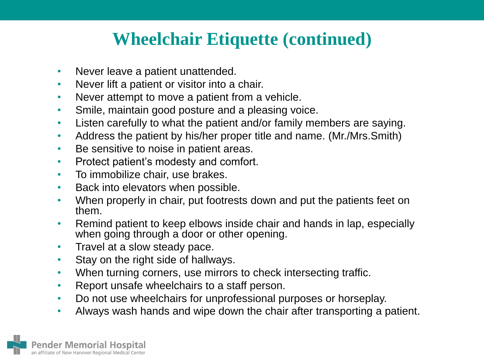### **Wheelchair Etiquette (continued)**

- Never leave a patient unattended.
- Never lift a patient or visitor into a chair.
- Never attempt to move a patient from a vehicle.
- Smile, maintain good posture and a pleasing voice.
- Listen carefully to what the patient and/or family members are saying.
- Address the patient by his/her proper title and name. (Mr./Mrs.Smith)
- Be sensitive to noise in patient areas.
- Protect patient's modesty and comfort.
- To immobilize chair, use brakes.
- Back into elevators when possible.
- When properly in chair, put footrests down and put the patients feet on them.
- Remind patient to keep elbows inside chair and hands in lap, especially when going through a door or other opening.
- Travel at a slow steady pace.
- Stay on the right side of hallways.
- When turning corners, use mirrors to check intersecting traffic.
- Report unsafe wheelchairs to a staff person.
- Do not use wheelchairs for unprofessional purposes or horseplay.
- Always wash hands and wipe down the chair after transporting a patient.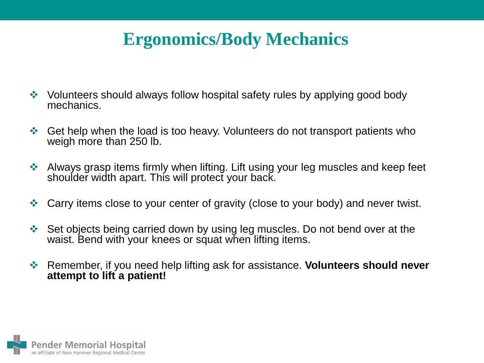## **Ergonomics/Body Mechanics**

- Volunteers should always follow hospital safety rules by applying good body mechanics.
- ◆ Get help when the load is too heavy. Volunteers do not transport patients who weigh more than 250 lb.
- Always grasp items firmly when lifting. Lift using your leg muscles and keep feet shoulder width apart. This will protect your back.
- Carry items close to your center of gravity (close to your body) and never twist.
- Set objects being carried down by using leg muscles. Do not bend over at the waist. Bend with your knees or squat when lifting items.
- Remember, if you need help lifting ask for assistance. **Volunteers should never attempt to lift a patient!**

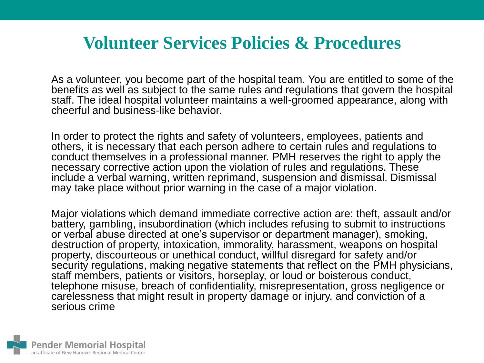### **Volunteer Services Policies & Procedures**

As a volunteer, you become part of the hospital team. You are entitled to some of the benefits as well as subject to the same rules and regulations that govern the hospital staff. The ideal hospital volunteer maintains a well-groomed appearance, along with cheerful and business-like behavior.

In order to protect the rights and safety of volunteers, employees, patients and others, it is necessary that each person adhere to certain rules and regulations to conduct themselves in a professional manner. PMH reserves the right to apply the necessary corrective action upon the violation of rules and regulations. These include a verbal warning, written reprimand, suspension and dismissal. Dismissal may take place without prior warning in the case of a major violation.

Major violations which demand immediate corrective action are: theft, assault and/or battery, gambling, insubordination (which includes refusing to submit to instructions or verbal abuse directed at one's supervisor or department manager), smoking, destruction of property, intoxication, immorality, harassment, weapons on hospital property, discourteous or unethical conduct, willful disregard for safety and/or security regulations, making negative statements that reflect on the PMH physicians, staff members, patients or visitors, horseplay, or loud or boisterous conduct, telephone misuse, breach of confidentiality, misrepresentation, gross negligence or carelessness that might result in property damage or injury, and conviction of a serious crime

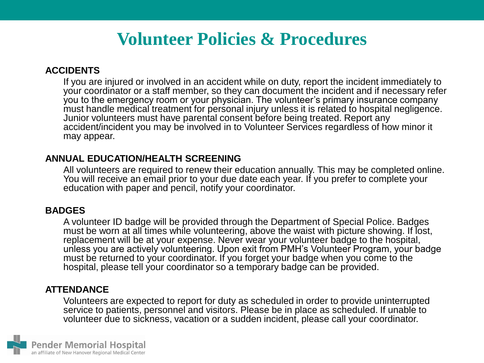#### **ACCIDENTS**

If you are injured or involved in an accident while on duty, report the incident immediately to your coordinator or a staff member, so they can document the incident and if necessary refer you to the emergency room or your physician. The volunteer's primary insurance company must handle medical treatment for personal injury unless it is related to hospital negligence. Junior volunteers must have parental consent before being treated. Report any accident/incident you may be involved in to Volunteer Services regardless of how minor it may appear.

#### **ANNUAL EDUCATION/HEALTH SCREENING**

All volunteers are required to renew their education annually. This may be completed online. You will receive an email prior to your due date each year. If you prefer to complete your education with paper and pencil, notify your coordinator.

#### **BADGES**

A volunteer ID badge will be provided through the Department of Special Police. Badges must be worn at all times while volunteering, above the waist with picture showing. If lost, replacement will be at your expense. Never wear your volunteer badge to the hospital, unless you are actively volunteering. Upon exit from PMH's Volunteer Program, your badge must be returned to your coordinator. If you forget your badge when you come to the hospital, please tell your coordinator so a temporary badge can be provided.

#### **ATTENDANCE**

Volunteers are expected to report for duty as scheduled in order to provide uninterrupted service to patients, personnel and visitors. Please be in place as scheduled. If unable to volunteer due to sickness, vacation or a sudden incident, please call your coordinator.

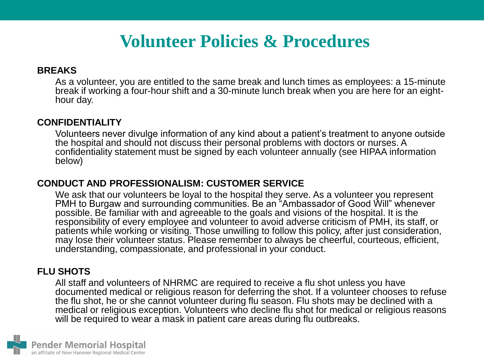#### **BREAKS**

As a volunteer, you are entitled to the same break and lunch times as employees: a 15-minute break if working a four-hour shift and a 30-minute lunch break when you are here for an eighthour day.

#### **CONFIDENTIALITY**

Volunteers never divulge information of any kind about a patient's treatment to anyone outside the hospital and should not discuss their personal problems with doctors or nurses. A confidentiality statement must be signed by each volunteer annually (see HIPAA information below)

#### **CONDUCT AND PROFESSIONALISM: CUSTOMER SERVICE**

We ask that our volunteers be loyal to the hospital they serve. As a volunteer you represent PMH to Burgaw and surrounding communities. Be an "Ambassador of Good Will" whenever possible. Be familiar with and agreeable to the goals and visions of the hospital. It is the responsibility of every employee and volunteer to avoid adverse criticism of PMH, its staff, or patients while working or visiting. Those unwilling to follow this policy, after just consideration, may lose their volunteer status. Please remember to always be cheerful, courteous, efficient, understanding, compassionate, and professional in your conduct.

#### **FLU SHOTS**

All staff and volunteers of NHRMC are required to receive a flu shot unless you have documented medical or religious reason for deferring the shot. If a volunteer chooses to refuse the flu shot, he or she cannot volunteer during flu season. Flu shots may be declined with a medical or religious exception. Volunteers who decline flu shot for medical or religious reasons will be required to wear a mask in patient care areas during flu outbreaks.

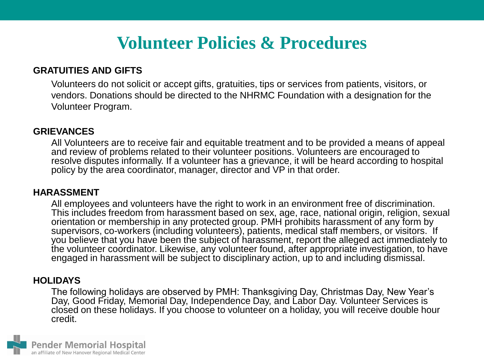#### **GRATUITIES AND GIFTS**

Volunteers do not solicit or accept gifts, gratuities, tips or services from patients, visitors, or vendors. Donations should be directed to the NHRMC Foundation with a designation for the Volunteer Program.

#### **GRIEVANCES**

All Volunteers are to receive fair and equitable treatment and to be provided a means of appeal and review of problems related to their volunteer positions. Volunteers are encouraged to resolve disputes informally. If a volunteer has a grievance, it will be heard according to hospital policy by the area coordinator, manager, director and VP in that order.

#### **HARASSMENT**

All employees and volunteers have the right to work in an environment free of discrimination. This includes freedom from harassment based on sex, age, race, national origin, religion, sexual orientation or membership in any protected group. PMH prohibits harassment of any form by supervisors, co-workers (including volunteers), patients, medical staff members, or visitors. If you believe that you have been the subject of harassment, report the alleged act immediately to the volunteer coordinator. Likewise, any volunteer found, after appropriate investigation, to have engaged in harassment will be subject to disciplinary action, up to and including dismissal.

#### **HOLIDAYS**

The following holidays are observed by PMH: Thanksgiving Day, Christmas Day, New Year's Day, Good Friday, Memorial Day, Independence Day, and Labor Day. Volunteer Services is closed on these holidays. If you choose to volunteer on a holiday, you will receive double hour credit.

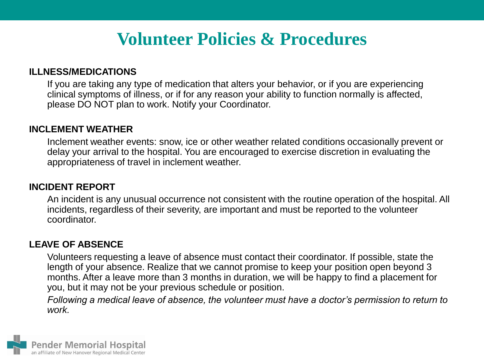#### **ILLNESS/MEDICATIONS**

If you are taking any type of medication that alters your behavior, or if you are experiencing clinical symptoms of illness, or if for any reason your ability to function normally is affected, please DO NOT plan to work. Notify your Coordinator.

#### **INCLEMENT WEATHER**

Inclement weather events: snow, ice or other weather related conditions occasionally prevent or delay your arrival to the hospital. You are encouraged to exercise discretion in evaluating the appropriateness of travel in inclement weather.

#### **INCIDENT REPORT**

An incident is any unusual occurrence not consistent with the routine operation of the hospital. All incidents, regardless of their severity, are important and must be reported to the volunteer coordinator.

#### **LEAVE OF ABSENCE**

Volunteers requesting a leave of absence must contact their coordinator. If possible, state the length of your absence. Realize that we cannot promise to keep your position open beyond 3 months. After a leave more than 3 months in duration, we will be happy to find a placement for you, but it may not be your previous schedule or position.

*Following a medical leave of absence, the volunteer must have a doctor's permission to return to work.*

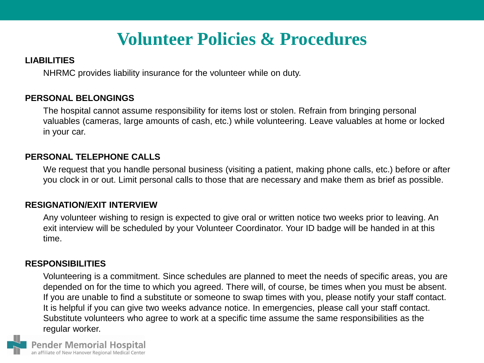#### **LIABILITIES**

NHRMC provides liability insurance for the volunteer while on duty.

#### **PERSONAL BELONGINGS**

The hospital cannot assume responsibility for items lost or stolen. Refrain from bringing personal valuables (cameras, large amounts of cash, etc.) while volunteering. Leave valuables at home or locked in your car.

#### **PERSONAL TELEPHONE CALLS**

We request that you handle personal business (visiting a patient, making phone calls, etc.) before or after you clock in or out. Limit personal calls to those that are necessary and make them as brief as possible.

#### **RESIGNATION/EXIT INTERVIEW**

Any volunteer wishing to resign is expected to give oral or written notice two weeks prior to leaving. An exit interview will be scheduled by your Volunteer Coordinator. Your ID badge will be handed in at this time.

#### **RESPONSIBILITIES**

Volunteering is a commitment. Since schedules are planned to meet the needs of specific areas, you are depended on for the time to which you agreed. There will, of course, be times when you must be absent. If you are unable to find a substitute or someone to swap times with you, please notify your staff contact. It is helpful if you can give two weeks advance notice. In emergencies, please call your staff contact. Substitute volunteers who agree to work at a specific time assume the same responsibilities as the regular worker.

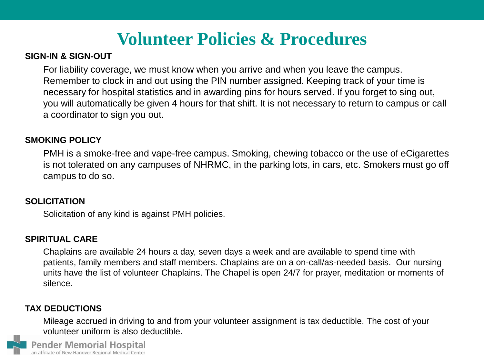#### **SIGN-IN & SIGN-OUT**

For liability coverage, we must know when you arrive and when you leave the campus. Remember to clock in and out using the PIN number assigned. Keeping track of your time is necessary for hospital statistics and in awarding pins for hours served. If you forget to sing out, you will automatically be given 4 hours for that shift. It is not necessary to return to campus or call a coordinator to sign you out.

#### **SMOKING POLICY**

PMH is a smoke-free and vape-free campus. Smoking, chewing tobacco or the use of eCigarettes is not tolerated on any campuses of NHRMC, in the parking lots, in cars, etc. Smokers must go off campus to do so.

#### **SOLICITATION**

Solicitation of any kind is against PMH policies.

#### **SPIRITUAL CARE**

Chaplains are available 24 hours a day, seven days a week and are available to spend time with patients, family members and staff members. Chaplains are on a on-call/as-needed basis. Our nursing units have the list of volunteer Chaplains. The Chapel is open 24/7 for prayer, meditation or moments of silence.

#### **TAX DEDUCTIONS**

Mileage accrued in driving to and from your volunteer assignment is tax deductible. The cost of your volunteer uniform is also deductible.

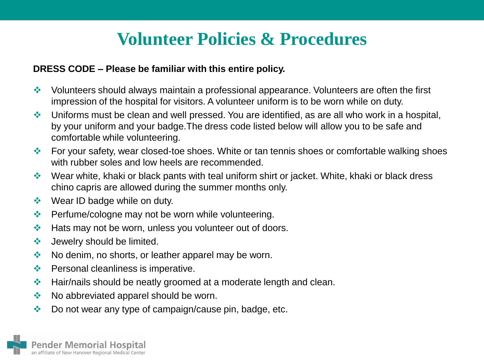#### **DRESS CODE – Please be familiar with this entire policy.**

- Volunteers should always maintain a professional appearance. Volunteers are often the first impression of the hospital for visitors. A volunteer uniform is to be worn while on duty.
- Uniforms must be clean and well pressed. You are identified, as are all who work in a hospital, by your uniform and your badge.The dress code listed below will allow you to be safe and comfortable while volunteering.
- For your safety, wear closed-toe shoes. White or tan tennis shoes or comfortable walking shoes with rubber soles and low heels are recommended.
- ◆ Wear white, khaki or black pants with teal uniform shirt or jacket. White, khaki or black dress chino capris are allowed during the summer months only.
- $\triangleleft$  Wear ID badge while on duty.
- **◆ Perfume/cologne may not be worn while volunteering.**
- Hats may not be worn, unless you volunteer out of doors.
- ❖ Jewelry should be limited.
- $\triangleq$  No denim, no shorts, or leather apparel may be worn.
- $\triangleleft$  Personal cleanliness is imperative.
- Hair/nails should be neatly groomed at a moderate length and clean.
- $\bullet\bullet\quad$  No abbreviated apparel should be worn.
- ◆ Do not wear any type of campaign/cause pin, badge, etc.

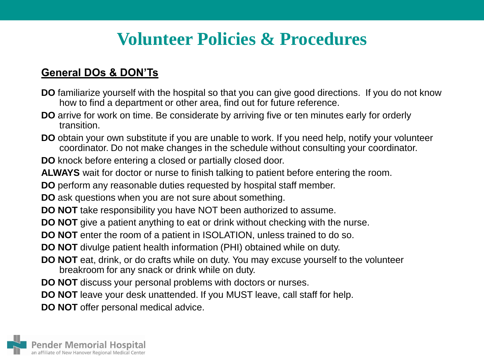### **General DOs & DON'Ts**

- **DO** familiarize yourself with the hospital so that you can give good directions. If you do not know how to find a department or other area, find out for future reference.
- **DO** arrive for work on time. Be considerate by arriving five or ten minutes early for orderly transition.
- **DO** obtain your own substitute if you are unable to work. If you need help, notify your volunteer coordinator. Do not make changes in the schedule without consulting your coordinator.

**DO** knock before entering a closed or partially closed door.

**ALWAYS** wait for doctor or nurse to finish talking to patient before entering the room.

**DO** perform any reasonable duties requested by hospital staff member.

**DO** ask questions when you are not sure about something.

- **DO NOT** take responsibility you have NOT been authorized to assume.
- **DO NOT** give a patient anything to eat or drink without checking with the nurse.
- **DO NOT** enter the room of a patient in ISOLATION, unless trained to do so.
- **DO NOT** divulge patient health information (PHI) obtained while on duty.
- **DO NOT** eat, drink, or do crafts while on duty. You may excuse yourself to the volunteer breakroom for any snack or drink while on duty.
- **DO NOT** discuss your personal problems with doctors or nurses.
- **DO NOT** leave your desk unattended. If you MUST leave, call staff for help.

**DO NOT** offer personal medical advice.

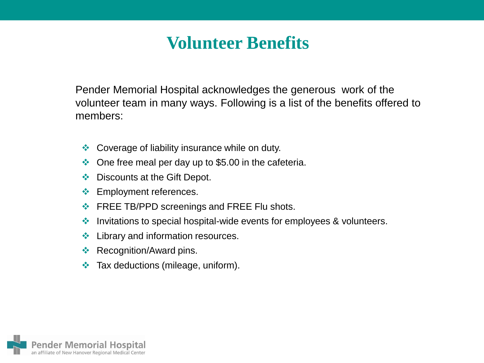### **Volunteer Benefits**

Pender Memorial Hospital acknowledges the generous work of the volunteer team in many ways. Following is a list of the benefits offered to members:

- **♦ Coverage of liability insurance while on duty.**
- $\bullet$  One free meal per day up to \$5.00 in the cafeteria.
- ◆ Discounts at the Gift Depot.
- ❖ Employment references.
- **EREE TB/PPD screenings and FREE Flu shots.**
- ❖ Invitations to special hospital-wide events for employees & volunteers.
- $\div$  Library and information resources.
- **❖ Recognition/Award pins.**
- $\triangleleft$  Tax deductions (mileage, uniform).

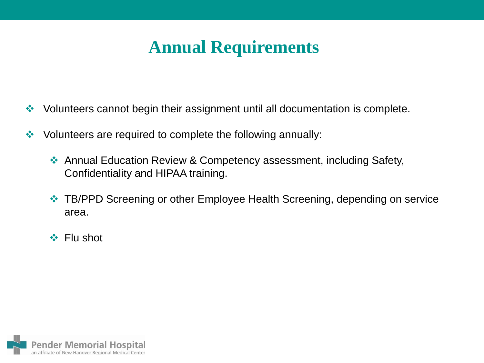# **Annual Requirements**

- ◆ Volunteers cannot begin their assignment until all documentation is complete.
- ❖ Volunteers are required to complete the following annually:
	- ◆ Annual Education Review & Competency assessment, including Safety, Confidentiality and HIPAA training.
	- ◆ TB/PPD Screening or other Employee Health Screening, depending on service area.
	- ❖ Flu shot